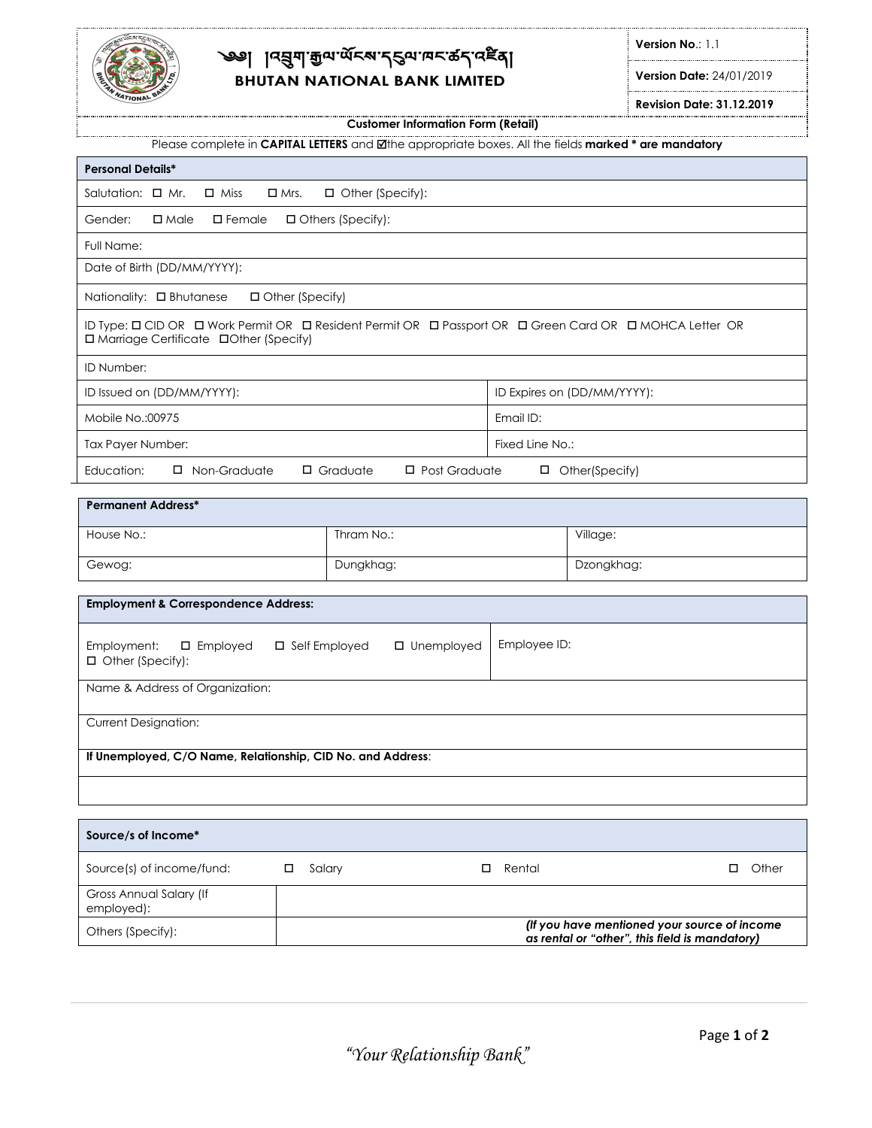

# ্ক্স বিপ্ৰিনা:ই<sub>অ.প্ৰ</sub>ূপ.নুপ.ডব.প্ৰয়ৰ্খ **BHUTAN NATIONAL BANK LIMITED**

**Version No**.: 1.1

**Version Date:** 24/01/2019

**Revision Date: 31.12.2019**

### **Customer Information Form (Retail)**

| Please complete in CAPITAL LETTERS and Øthe appropriate boxes. All the fields marked * are mandatory |  |
|------------------------------------------------------------------------------------------------------|--|

| <b>Personal Details*</b>                                                                                                                           |                                         |                 |                             |
|----------------------------------------------------------------------------------------------------------------------------------------------------|-----------------------------------------|-----------------|-----------------------------|
| Salutation: $\Box$ Mr.<br>$\Box$ Miss<br>$\Box$ Mrs.                                                                                               | □ Other (Specify):                      |                 |                             |
| Gender:<br>$\square$ Female<br>$\square$ Male                                                                                                      | □ Others (Specify):                     |                 |                             |
| Full Name:                                                                                                                                         |                                         |                 |                             |
| Date of Birth (DD/MM/YYYY):                                                                                                                        |                                         |                 |                             |
| Nationality: □ Bhutanese<br>□ Other (Specify)                                                                                                      |                                         |                 |                             |
| ID Type: 0 CID OR 0 Work Permit OR 0 Resident Permit OR 0 Passport OR 0 Green Card OR 0 MOHCA Letter OR<br>□ Marriage Certificate □Other (Specify) |                                         |                 |                             |
| ID Number:                                                                                                                                         |                                         |                 |                             |
| ID Issued on (DD/MM/YYYY):                                                                                                                         |                                         |                 | ID Expires on (DD/MM/YYYY): |
| Mobile No.:00975                                                                                                                                   |                                         | Email ID:       |                             |
| Tax Payer Number:                                                                                                                                  |                                         | Fixed Line No.: |                             |
| Education:<br>□ Non-Graduate                                                                                                                       | $\Box$ Graduate<br>$\Box$ Post Graduate |                 | □ Other(Specify)            |
| <b>Permanent Address*</b>                                                                                                                          |                                         |                 |                             |
| House No.:                                                                                                                                         | Thram No.:                              | Village:        |                             |
| Gewog:                                                                                                                                             | Dungkhag:                               |                 | Dzongkhag:                  |
| <b>Employment &amp; Correspondence Address:</b>                                                                                                    |                                         |                 |                             |
|                                                                                                                                                    |                                         |                 |                             |
| Employment:<br>$\square$ Employed<br>□ Self Employed<br>□ Other (Specify):                                                                         | $\square$ Unemployed                    | Employee ID:    |                             |
| Name & Address of Organization:                                                                                                                    |                                         |                 |                             |
| <b>Current Designation:</b>                                                                                                                        |                                         |                 |                             |
| If Unemployed, C/O Name, Relationship, CID No. and Address:                                                                                        |                                         |                 |                             |
|                                                                                                                                                    |                                         |                 |                             |

| Source/s of Income*                   |                                                                                                 |        |            |
|---------------------------------------|-------------------------------------------------------------------------------------------------|--------|------------|
| Source(s) of income/fund:             | Salary                                                                                          | Rental | Other<br>□ |
| Gross Annual Salary (If<br>employed): |                                                                                                 |        |            |
| Others (Specify):                     | (If you have mentioned your source of income)<br>as rental or "other", this field is mandatory) |        |            |